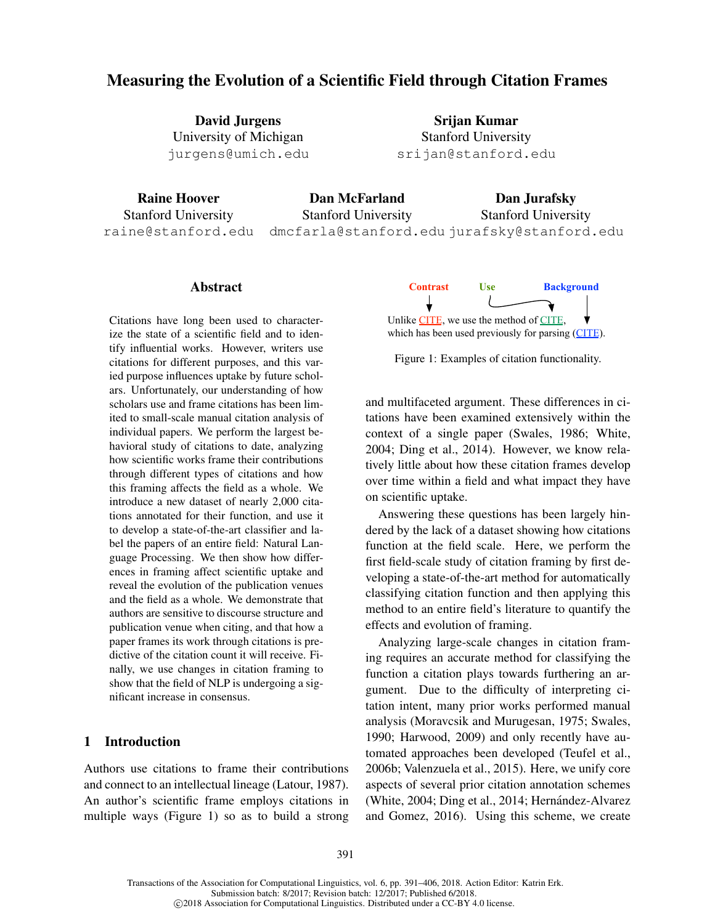# Measuring the Evolution of a Scientific Field through Citation Frames

David Jurgens University of Michigan jurgens@umich.edu

Srijan Kumar Stanford University srijan@stanford.edu

Raine Hoover Stanford University raine@stanford.edu

Dan McFarland Stanford University dmcfarla@stanford.edu jurafsky@stanford.edu

Dan Jurafsky Stanford University

## Abstract

Citations have long been used to characterize the state of a scientific field and to identify influential works. However, writers use citations for different purposes, and this varied purpose influences uptake by future scholars. Unfortunately, our understanding of how scholars use and frame citations has been limited to small-scale manual citation analysis of individual papers. We perform the largest behavioral study of citations to date, analyzing how scientific works frame their contributions through different types of citations and how this framing affects the field as a whole. We introduce a new dataset of nearly 2,000 citations annotated for their function, and use it to develop a state-of-the-art classifier and label the papers of an entire field: Natural Language Processing. We then show how differences in framing affect scientific uptake and reveal the evolution of the publication venues and the field as a whole. We demonstrate that authors are sensitive to discourse structure and publication venue when citing, and that how a paper frames its work through citations is predictive of the citation count it will receive. Finally, we use changes in citation framing to show that the field of NLP is undergoing a significant increase in consensus.

## 1 Introduction

Authors use citations to frame their contributions and connect to an intellectual lineage (Latour, 1987). An author's scientific frame employs citations in multiple ways (Figure 1) so as to build a strong



Figure 1: Examples of citation functionality.

and multifaceted argument. These differences in citations have been examined extensively within the context of a single paper (Swales, 1986; White, 2004; Ding et al., 2014). However, we know relatively little about how these citation frames develop over time within a field and what impact they have on scientific uptake.

Answering these questions has been largely hindered by the lack of a dataset showing how citations function at the field scale. Here, we perform the first field-scale study of citation framing by first developing a state-of-the-art method for automatically classifying citation function and then applying this method to an entire field's literature to quantify the effects and evolution of framing.

Analyzing large-scale changes in citation framing requires an accurate method for classifying the function a citation plays towards furthering an argument. Due to the difficulty of interpreting citation intent, many prior works performed manual analysis (Moravcsik and Murugesan, 1975; Swales, 1990; Harwood, 2009) and only recently have automated approaches been developed (Teufel et al., 2006b; Valenzuela et al., 2015). Here, we unify core aspects of several prior citation annotation schemes (White, 2004; Ding et al., 2014; Hernández-Alvarez and Gomez, 2016). Using this scheme, we create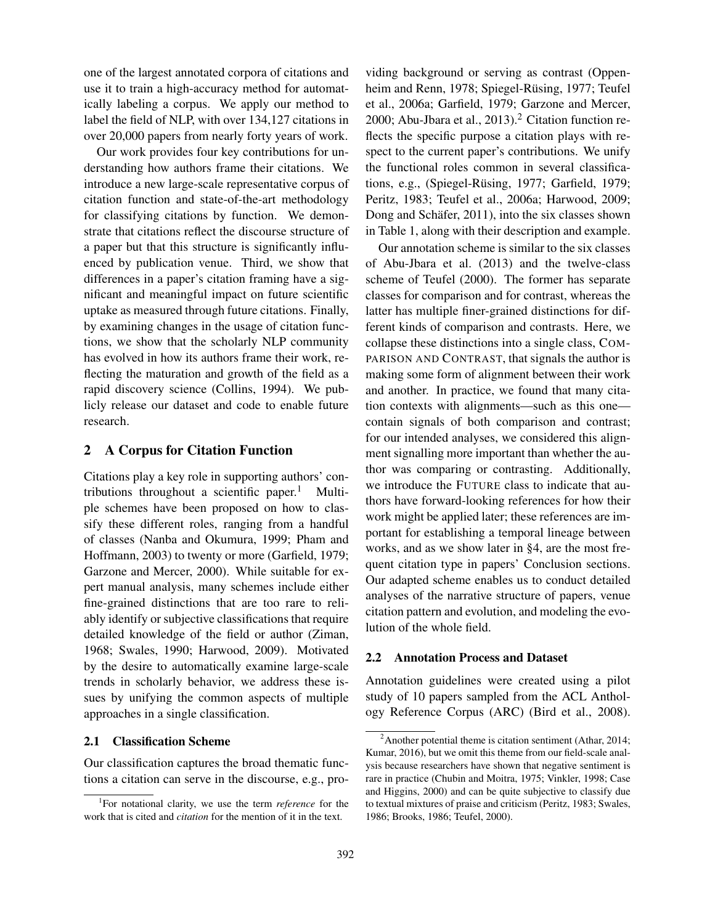one of the largest annotated corpora of citations and use it to train a high-accuracy method for automatically labeling a corpus. We apply our method to label the field of NLP, with over 134,127 citations in over 20,000 papers from nearly forty years of work.

Our work provides four key contributions for understanding how authors frame their citations. We introduce a new large-scale representative corpus of citation function and state-of-the-art methodology for classifying citations by function. We demonstrate that citations reflect the discourse structure of a paper but that this structure is significantly influenced by publication venue. Third, we show that differences in a paper's citation framing have a significant and meaningful impact on future scientific uptake as measured through future citations. Finally, by examining changes in the usage of citation functions, we show that the scholarly NLP community has evolved in how its authors frame their work, reflecting the maturation and growth of the field as a rapid discovery science (Collins, 1994). We publicly release our dataset and code to enable future research.

# 2 A Corpus for Citation Function

Citations play a key role in supporting authors' contributions throughout a scientific paper.<sup>1</sup> Multiple schemes have been proposed on how to classify these different roles, ranging from a handful of classes (Nanba and Okumura, 1999; Pham and Hoffmann, 2003) to twenty or more (Garfield, 1979; Garzone and Mercer, 2000). While suitable for expert manual analysis, many schemes include either fine-grained distinctions that are too rare to reliably identify or subjective classifications that require detailed knowledge of the field or author (Ziman, 1968; Swales, 1990; Harwood, 2009). Motivated by the desire to automatically examine large-scale trends in scholarly behavior, we address these issues by unifying the common aspects of multiple approaches in a single classification.

#### 2.1 Classification Scheme

Our classification captures the broad thematic functions a citation can serve in the discourse, e.g., providing background or serving as contrast (Oppenheim and Renn, 1978; Spiegel-Rüsing, 1977; Teufel et al., 2006a; Garfield, 1979; Garzone and Mercer, 2000; Abu-Jbara et al.,  $2013$ ).<sup>2</sup> Citation function reflects the specific purpose a citation plays with respect to the current paper's contributions. We unify the functional roles common in several classifications, e.g., (Spiegel-Rüsing, 1977; Garfield, 1979; Peritz, 1983; Teufel et al., 2006a; Harwood, 2009; Dong and Schäfer, 2011), into the six classes shown in Table 1, along with their description and example.

Our annotation scheme is similar to the six classes of Abu-Jbara et al. (2013) and the twelve-class scheme of Teufel (2000). The former has separate classes for comparison and for contrast, whereas the latter has multiple finer-grained distinctions for different kinds of comparison and contrasts. Here, we collapse these distinctions into a single class, COM-PARISON AND CONTRAST, that signals the author is making some form of alignment between their work and another. In practice, we found that many citation contexts with alignments—such as this one contain signals of both comparison and contrast; for our intended analyses, we considered this alignment signalling more important than whether the author was comparing or contrasting. Additionally, we introduce the FUTURE class to indicate that authors have forward-looking references for how their work might be applied later; these references are important for establishing a temporal lineage between works, and as we show later in §4, are the most frequent citation type in papers' Conclusion sections. Our adapted scheme enables us to conduct detailed analyses of the narrative structure of papers, venue citation pattern and evolution, and modeling the evolution of the whole field.

# 2.2 Annotation Process and Dataset

Annotation guidelines were created using a pilot study of 10 papers sampled from the ACL Anthology Reference Corpus (ARC) (Bird et al., 2008).

<sup>1</sup> For notational clarity, we use the term *reference* for the work that is cited and *citation* for the mention of it in the text.

 $2^2$ Another potential theme is citation sentiment (Athar, 2014; Kumar, 2016), but we omit this theme from our field-scale analysis because researchers have shown that negative sentiment is rare in practice (Chubin and Moitra, 1975; Vinkler, 1998; Case and Higgins, 2000) and can be quite subjective to classify due to textual mixtures of praise and criticism (Peritz, 1983; Swales, 1986; Brooks, 1986; Teufel, 2000).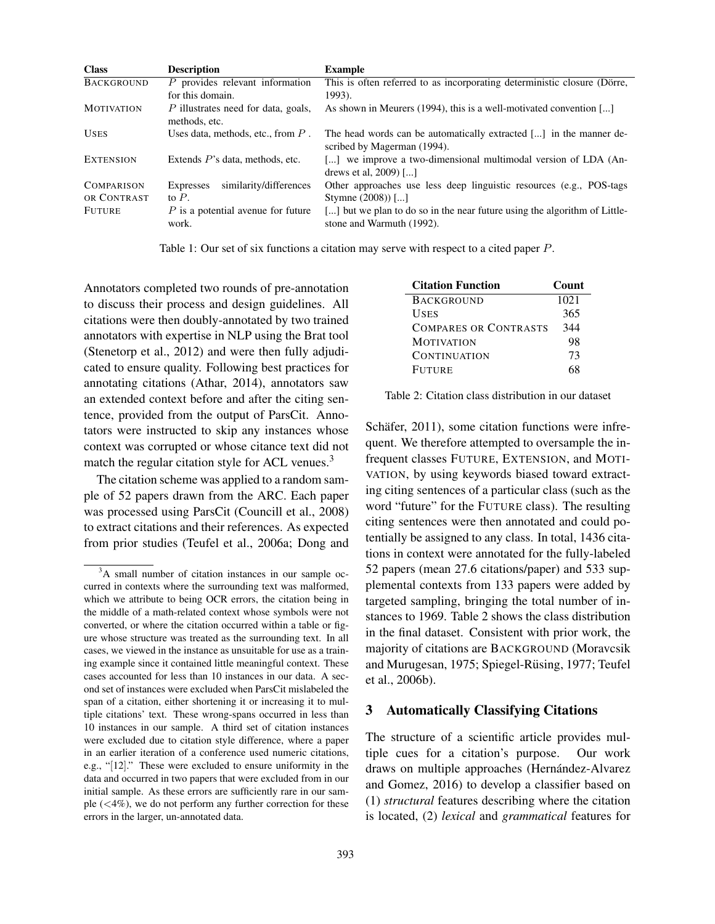| <b>Class</b>      | <b>Description</b>                                   | <b>Example</b>                                                                                           |
|-------------------|------------------------------------------------------|----------------------------------------------------------------------------------------------------------|
| <b>BACKGROUND</b> | $P$ provides relevant information                    | This is often referred to as incorporating deterministic closure (Dörre,                                 |
|                   | for this domain.                                     | 1993).                                                                                                   |
| <b>MOTIVATION</b> | P illustrates need for data, goals,<br>methods, etc. | As shown in Meurers (1994), this is a well-motivated convention []                                       |
| <b>USES</b>       | Uses data, methods, etc., from $P$ .                 | The head words can be automatically extracted $[\dots]$ in the manner de-<br>scribed by Magerman (1994). |
| <b>EXTENSION</b>  | Extends $P$ 's data, methods, etc.                   | [] we improve a two-dimensional multimodal version of LDA (An-<br>drews et al, 2009) []                  |
| <b>COMPARISON</b> | similarity/differences<br><b>Expresses</b>           | Other approaches use less deep linguistic resources (e.g., POS-tags)                                     |
| OR CONTRAST       | to $P$ .                                             | Stymne $(2008)$ []                                                                                       |
| <b>FUTURE</b>     | $P$ is a potential avenue for future<br>work.        | [] but we plan to do so in the near future using the algorithm of Little-<br>stone and Warmuth (1992).   |

Table 1: Our set of six functions a citation may serve with respect to a cited paper P.

Annotators completed two rounds of pre-annotation to discuss their process and design guidelines. All citations were then doubly-annotated by two trained annotators with expertise in NLP using the Brat tool (Stenetorp et al., 2012) and were then fully adjudicated to ensure quality. Following best practices for annotating citations (Athar, 2014), annotators saw an extended context before and after the citing sentence, provided from the output of ParsCit. Annotators were instructed to skip any instances whose context was corrupted or whose citance text did not match the regular citation style for ACL venues.<sup>3</sup>

The citation scheme was applied to a random sample of 52 papers drawn from the ARC. Each paper was processed using ParsCit (Councill et al., 2008) to extract citations and their references. As expected from prior studies (Teufel et al., 2006a; Dong and

| <b>Citation Function</b>     | <b>Count</b> |
|------------------------------|--------------|
| <b>BACKGROUND</b>            | 1021         |
| <b>USES</b>                  | 365          |
| <b>COMPARES OR CONTRASTS</b> | 344          |
| <b>MOTIVATION</b>            | 98           |
| <b>CONTINUATION</b>          | 73           |
| <b>FUTURE</b>                |              |

Table 2: Citation class distribution in our dataset

Schäfer, 2011), some citation functions were infrequent. We therefore attempted to oversample the infrequent classes FUTURE, EXTENSION, and MOTI-VATION, by using keywords biased toward extracting citing sentences of a particular class (such as the word "future" for the FUTURE class). The resulting citing sentences were then annotated and could potentially be assigned to any class. In total, 1436 citations in context were annotated for the fully-labeled 52 papers (mean 27.6 citations/paper) and 533 supplemental contexts from 133 papers were added by targeted sampling, bringing the total number of instances to 1969. Table 2 shows the class distribution in the final dataset. Consistent with prior work, the majority of citations are BACKGROUND (Moravcsik and Murugesan, 1975; Spiegel-Rüsing, 1977; Teufel et al., 2006b).

### 3 Automatically Classifying Citations

The structure of a scientific article provides multiple cues for a citation's purpose. Our work draws on multiple approaches (Hernández-Alvarez and Gomez, 2016) to develop a classifier based on (1) *structural* features describing where the citation is located, (2) *lexical* and *grammatical* features for

<sup>&</sup>lt;sup>3</sup>A small number of citation instances in our sample occurred in contexts where the surrounding text was malformed, which we attribute to being OCR errors, the citation being in the middle of a math-related context whose symbols were not converted, or where the citation occurred within a table or figure whose structure was treated as the surrounding text. In all cases, we viewed in the instance as unsuitable for use as a training example since it contained little meaningful context. These cases accounted for less than 10 instances in our data. A second set of instances were excluded when ParsCit mislabeled the span of a citation, either shortening it or increasing it to multiple citations' text. These wrong-spans occurred in less than 10 instances in our sample. A third set of citation instances were excluded due to citation style difference, where a paper in an earlier iteration of a conference used numeric citations, e.g., "[12]." These were excluded to ensure uniformity in the data and occurred in two papers that were excluded from in our initial sample. As these errors are sufficiently rare in our sample  $( $4\%$ )$ , we do not perform any further correction for these errors in the larger, un-annotated data.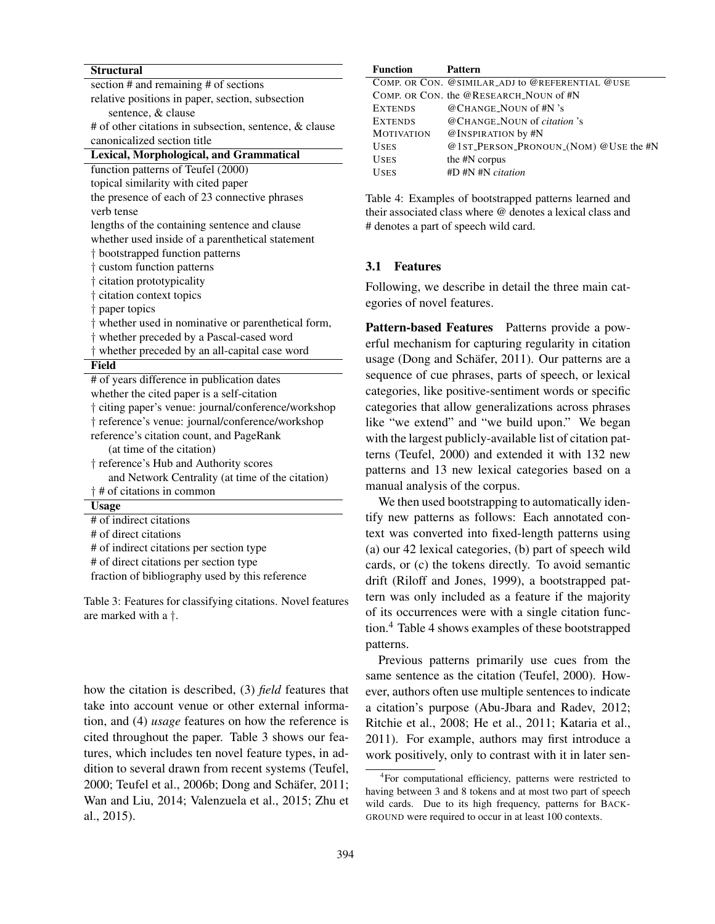| <b>Structural</b>                                      |  |
|--------------------------------------------------------|--|
| section $#$ and remaining $#$ of sections              |  |
| relative positions in paper, section, subsection       |  |
| sentence, & clause                                     |  |
| # of other citations in subsection, sentence, & clause |  |
| canonicalized section title                            |  |
| Lexical, Morphological, and Grammatical                |  |
| function patterns of Teufel (2000)                     |  |
| topical similarity with cited paper                    |  |
| the presence of each of 23 connective phrases          |  |
| verb tense                                             |  |
| lengths of the containing sentence and clause          |  |
| whether used inside of a parenthetical statement       |  |
| † bootstrapped function patterns                       |  |
| t custom function patterns                             |  |
| † citation prototypicality                             |  |
| † citation context topics                              |  |
| † paper topics                                         |  |
| † whether used in nominative or parenthetical form,    |  |
| t whether preceded by a Pascal-cased word              |  |
| t whether preceded by an all-capital case word         |  |
| Field                                                  |  |
| # of years difference in publication dates             |  |
| whether the cited paper is a self-citation             |  |
| † citing paper's venue: journal/conference/workshop    |  |
| † reference's venue: journal/conference/workshop       |  |
| reference's citation count, and PageRank               |  |
| (at time of the citation)                              |  |
| † reference's Hub and Authority scores                 |  |
| and Network Centrality (at time of the citation)       |  |
| $\dagger$ # of citations in common                     |  |
| <b>Usage</b>                                           |  |
| # of indirect citations                                |  |
| # of direct citations                                  |  |
| # of indirect citations per section type               |  |
| # of direct citations per section type                 |  |

fraction of bibliography used by this reference

Table 3: Features for classifying citations. Novel features are marked with a †.

how the citation is described, (3) *field* features that take into account venue or other external information, and (4) *usage* features on how the reference is cited throughout the paper. Table 3 shows our features, which includes ten novel feature types, in addition to several drawn from recent systems (Teufel, 2000; Teufel et al., 2006b; Dong and Schäfer, 2011; Wan and Liu, 2014; Valenzuela et al., 2015; Zhu et al., 2015).

| Function          | Pattern                                         |
|-------------------|-------------------------------------------------|
|                   | COMP. OR CON. @SIMILAR_ADJ to @REFERENTIAL @USE |
|                   | COMP. OR CON. the @RESEARCH NOUN of #N          |
| <b>EXTENDS</b>    | @CHANGE NOUN of #N 's                           |
| <b>EXTENDS</b>    | @CHANGE_NOUN of <i>citation</i> 's              |
| <b>MOTIVATION</b> | @INSPIRATION by #N                              |
| <b>USES</b>       | @1st_PERSON_PRONOUN_(NOM) @USE the #N           |
| <b>USES</b>       | the #N corpus                                   |
| <b>USES</b>       | $#D$ $#N$ $#N$ $citation$                       |
|                   |                                                 |

Table 4: Examples of bootstrapped patterns learned and their associated class where @ denotes a lexical class and # denotes a part of speech wild card.

# 3.1 Features

Following, we describe in detail the three main categories of novel features.

Pattern-based Features Patterns provide a powerful mechanism for capturing regularity in citation usage (Dong and Schäfer, 2011). Our patterns are a sequence of cue phrases, parts of speech, or lexical categories, like positive-sentiment words or specific categories that allow generalizations across phrases like "we extend" and "we build upon." We began with the largest publicly-available list of citation patterns (Teufel, 2000) and extended it with 132 new patterns and 13 new lexical categories based on a manual analysis of the corpus.

We then used bootstrapping to automatically identify new patterns as follows: Each annotated context was converted into fixed-length patterns using (a) our 42 lexical categories, (b) part of speech wild cards, or (c) the tokens directly. To avoid semantic drift (Riloff and Jones, 1999), a bootstrapped pattern was only included as a feature if the majority of its occurrences were with a single citation function.<sup>4</sup> Table 4 shows examples of these bootstrapped patterns.

Previous patterns primarily use cues from the same sentence as the citation (Teufel, 2000). However, authors often use multiple sentences to indicate a citation's purpose (Abu-Jbara and Radev, 2012; Ritchie et al., 2008; He et al., 2011; Kataria et al., 2011). For example, authors may first introduce a work positively, only to contrast with it in later sen-

<sup>4</sup> For computational efficiency, patterns were restricted to having between 3 and 8 tokens and at most two part of speech wild cards. Due to its high frequency, patterns for BACK-GROUND were required to occur in at least 100 contexts.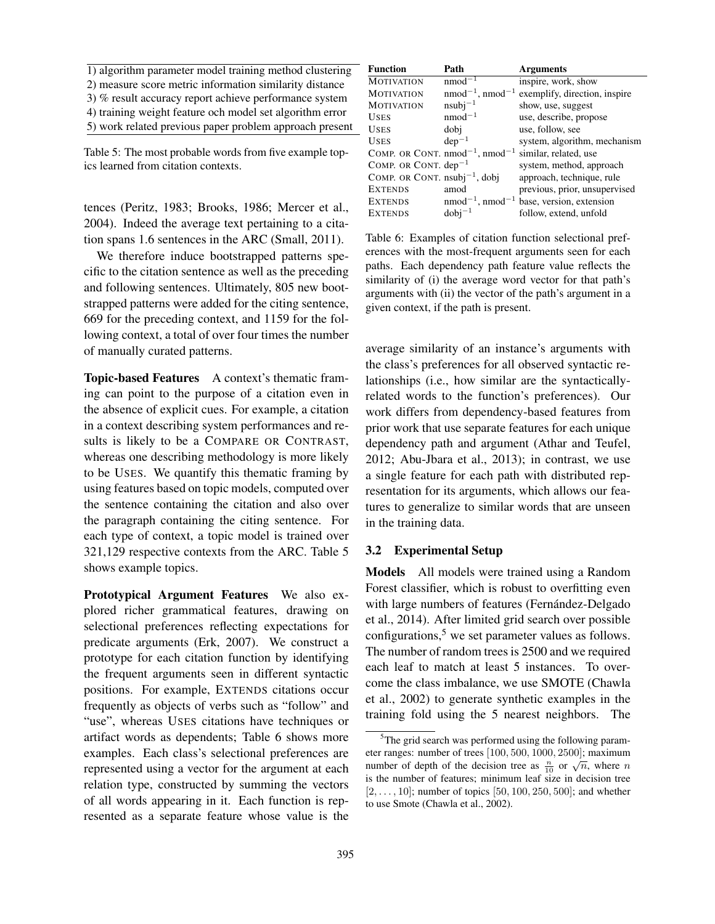1) algorithm parameter model training method clustering 2) measure score metric information similarity distance 3) % result accuracy report achieve performance system 4) training weight feature och model set algorithm error 5) work related previous paper problem approach present

Table 5: The most probable words from five example topics learned from citation contexts.

tences (Peritz, 1983; Brooks, 1986; Mercer et al., 2004). Indeed the average text pertaining to a citation spans 1.6 sentences in the ARC (Small, 2011).

We therefore induce bootstrapped patterns specific to the citation sentence as well as the preceding and following sentences. Ultimately, 805 new bootstrapped patterns were added for the citing sentence, 669 for the preceding context, and 1159 for the following context, a total of over four times the number of manually curated patterns.

Topic-based Features A context's thematic framing can point to the purpose of a citation even in the absence of explicit cues. For example, a citation in a context describing system performances and results is likely to be a COMPARE OR CONTRAST, whereas one describing methodology is more likely to be USES. We quantify this thematic framing by using features based on topic models, computed over the sentence containing the citation and also over the paragraph containing the citing sentence. For each type of context, a topic model is trained over 321,129 respective contexts from the ARC. Table 5 shows example topics.

Prototypical Argument Features We also explored richer grammatical features, drawing on selectional preferences reflecting expectations for predicate arguments (Erk, 2007). We construct a prototype for each citation function by identifying the frequent arguments seen in different syntactic positions. For example, EXTENDS citations occur frequently as objects of verbs such as "follow" and "use", whereas USES citations have techniques or artifact words as dependents; Table 6 shows more examples. Each class's selectional preferences are represented using a vector for the argument at each relation type, constructed by summing the vectors of all words appearing in it. Each function is represented as a separate feature whose value is the

| Path                                     | <b>Arguments</b>              |
|------------------------------------------|-------------------------------|
| $nmod^{-1}$                              | inspire, work, show           |
| $nmod^{-1}$ , $nmod^{-1}$                | exemplify, direction, inspire |
| $nsubi-1$                                | show, use, suggest            |
| $nmod^{-1}$                              | use, describe, propose        |
| dobi                                     | use, follow, see              |
| $dep-1$                                  | system, algorithm, mechanism  |
| COMP. OR CONT. $nmod^{-1}$ , $nmod^{-1}$ | similar, related, use         |
| COMP. OR CONT. $dep^{-1}$                | system, method, approach      |
| COMP. OR CONT. $nsubj^{-1}$ , dobj       | approach, technique, rule     |
| amod                                     | previous, prior, unsupervised |
| $nmod^{-1}$ , $nmod^{-1}$                | base, version, extension      |
| $dobj^{-1}$                              | follow, extend, unfold        |
|                                          |                               |

Table 6: Examples of citation function selectional preferences with the most-frequent arguments seen for each paths. Each dependency path feature value reflects the similarity of (i) the average word vector for that path's arguments with (ii) the vector of the path's argument in a given context, if the path is present.

average similarity of an instance's arguments with the class's preferences for all observed syntactic relationships (i.e., how similar are the syntacticallyrelated words to the function's preferences). Our work differs from dependency-based features from prior work that use separate features for each unique dependency path and argument (Athar and Teufel, 2012; Abu-Jbara et al., 2013); in contrast, we use a single feature for each path with distributed representation for its arguments, which allows our features to generalize to similar words that are unseen in the training data.

#### 3.2 Experimental Setup

Models All models were trained using a Random Forest classifier, which is robust to overfitting even with large numbers of features (Fernández-Delgado et al., 2014). After limited grid search over possible configurations, $5$  we set parameter values as follows. The number of random trees is 2500 and we required each leaf to match at least 5 instances. To overcome the class imbalance, we use SMOTE (Chawla et al., 2002) to generate synthetic examples in the training fold using the 5 nearest neighbors. The

<sup>&</sup>lt;sup>5</sup>The grid search was performed using the following parameter ranges: number of trees [100, 500, 1000, 2500]; maximum number of depth of the decision tree as  $\frac{n}{10}$  or  $\sqrt{n}$ , where n is the number of features; minimum leaf size in decision tree  $[2, \ldots, 10]$ ; number of topics  $[50, 100, 250, 500]$ ; and whether to use Smote (Chawla et al., 2002).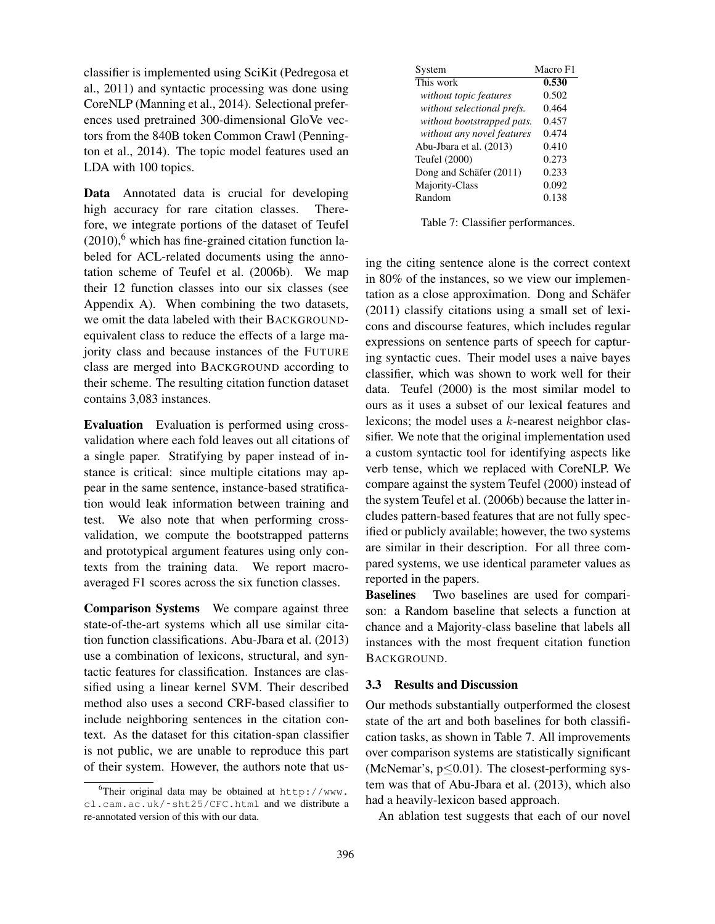classifier is implemented using SciKit (Pedregosa et al., 2011) and syntactic processing was done using CoreNLP (Manning et al., 2014). Selectional preferences used pretrained 300-dimensional GloVe vectors from the 840B token Common Crawl (Pennington et al., 2014). The topic model features used an LDA with 100 topics.

Data Annotated data is crucial for developing high accuracy for rare citation classes. Therefore, we integrate portions of the dataset of Teufel  $(2010)$ ,<sup>6</sup> which has fine-grained citation function labeled for ACL-related documents using the annotation scheme of Teufel et al. (2006b). We map their 12 function classes into our six classes (see Appendix A). When combining the two datasets, we omit the data labeled with their BACKGROUNDequivalent class to reduce the effects of a large majority class and because instances of the FUTURE class are merged into BACKGROUND according to their scheme. The resulting citation function dataset contains 3,083 instances.

Evaluation Evaluation is performed using crossvalidation where each fold leaves out all citations of a single paper. Stratifying by paper instead of instance is critical: since multiple citations may appear in the same sentence, instance-based stratification would leak information between training and test. We also note that when performing crossvalidation, we compute the bootstrapped patterns and prototypical argument features using only contexts from the training data. We report macroaveraged F1 scores across the six function classes.

Comparison Systems We compare against three state-of-the-art systems which all use similar citation function classifications. Abu-Jbara et al. (2013) use a combination of lexicons, structural, and syntactic features for classification. Instances are classified using a linear kernel SVM. Their described method also uses a second CRF-based classifier to include neighboring sentences in the citation context. As the dataset for this citation-span classifier is not public, we are unable to reproduce this part of their system. However, the authors note that us-

| System                     | Macro F1 |
|----------------------------|----------|
| This work                  | 0.530    |
| without topic features     | 0.502    |
| without selectional prefs. | 0.464    |
| without bootstrapped pats. | 0.457    |
| without any novel features | 0.474    |
| Abu-Jbara et al. (2013)    | 0.410    |
| Teufel (2000)              | 0.273    |
| Dong and Schäfer (2011)    | 0.233    |
| Majority-Class             | 0.092    |
| Random                     | 0.138    |

Table 7: Classifier performances.

ing the citing sentence alone is the correct context in 80% of the instances, so we view our implementation as a close approximation. Dong and Schäfer (2011) classify citations using a small set of lexicons and discourse features, which includes regular expressions on sentence parts of speech for capturing syntactic cues. Their model uses a naive bayes classifier, which was shown to work well for their data. Teufel (2000) is the most similar model to ours as it uses a subset of our lexical features and lexicons; the model uses a k-nearest neighbor classifier. We note that the original implementation used a custom syntactic tool for identifying aspects like verb tense, which we replaced with CoreNLP. We compare against the system Teufel (2000) instead of the system Teufel et al. (2006b) because the latter includes pattern-based features that are not fully specified or publicly available; however, the two systems are similar in their description. For all three compared systems, we use identical parameter values as reported in the papers.

Baselines Two baselines are used for comparison: a Random baseline that selects a function at chance and a Majority-class baseline that labels all instances with the most frequent citation function BACKGROUND.

# 3.3 Results and Discussion

Our methods substantially outperformed the closest state of the art and both baselines for both classification tasks, as shown in Table 7. All improvements over comparison systems are statistically significant (McNemar's,  $p \le 0.01$ ). The closest-performing system was that of Abu-Jbara et al. (2013), which also had a heavily-lexicon based approach.

An ablation test suggests that each of our novel

<sup>&</sup>lt;sup>6</sup>Their original data may be obtained at  $http://www.$ cl.cam.ac.uk/˜sht25/CFC.html and we distribute a re-annotated version of this with our data.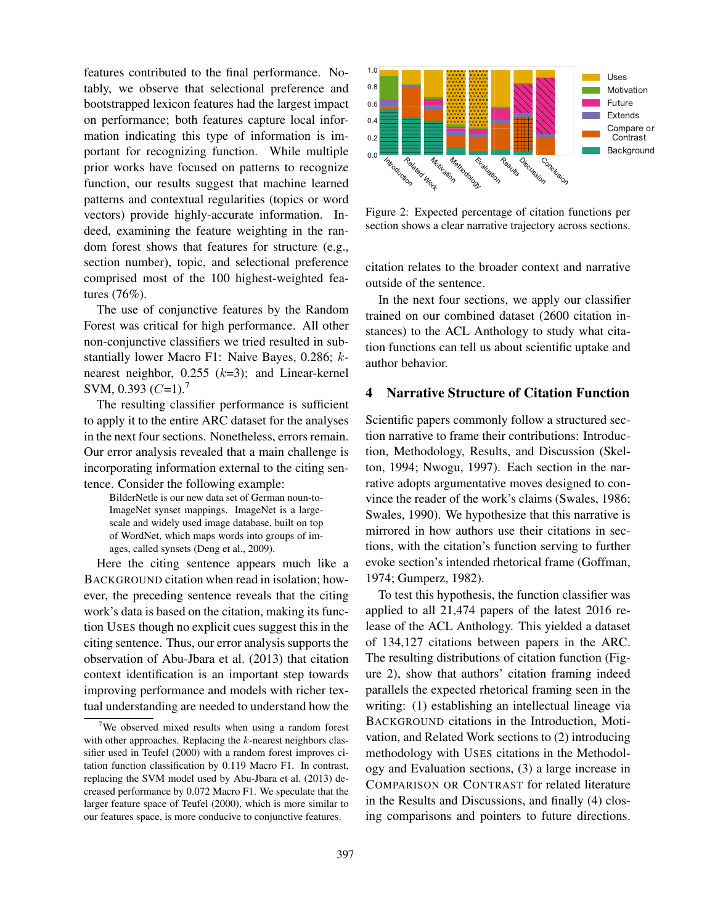features contributed to the final performance. Notably, we observe that selectional preference and bootstrapped lexicon features had the largest impact on performance; both features capture local information indicating this type of information is important for recognizing function. While multiple prior works have focused on patterns to recognize function, our results suggest that machine learned patterns and contextual regularities (topics or word vectors) provide highly-accurate information. Indeed, examining the feature weighting in the random forest shows that features for structure (e.g., section number), topic, and selectional preference comprised most of the 100 highest-weighted features (76%).

The use of conjunctive features by the Random Forest was critical for high performance. All other non-conjunctive classifiers we tried resulted in substantially lower Macro F1: Naive Bayes, 0.286; knearest neighbor,  $0.255$  ( $k=3$ ); and Linear-kernel SVM, 0.393  $(C=1)$ .<sup>7</sup>

The resulting classifier performance is sufficient to apply it to the entire ARC dataset for the analyses in the next four sections. Nonetheless, errors remain. Our error analysis revealed that a main challenge is incorporating information external to the citing sentence. Consider the following example:

BilderNetle is our new data set of German noun-to-ImageNet synset mappings. ImageNet is a largescale and widely used image database, built on top of WordNet, which maps words into groups of images, called synsets (Deng et al., 2009).

Here the citing sentence appears much like a BACKGROUND citation when read in isolation; however, the preceding sentence reveals that the citing work's data is based on the citation, making its function USES though no explicit cues suggest this in the citing sentence. Thus, our error analysis supports the observation of Abu-Jbara et al. (2013) that citation context identification is an important step towards improving performance and models with richer textual understanding are needed to understand how the prior works have focused on patterns to recognize<br>function, our results suggest that machine larmed in fragme 2: Figure 2:<br>platterns and contextual regularities (topics or word<br>edect, consiming the feature weighting in th



Figure 2: Expected percentage of citation functions per section shows a clear narrative trajectory across sections.

citation relates to the broader context and narrative outside of the sentence.

In the next four sections, we apply our classifier trained on our combined dataset (2600 citation instances) to the ACL Anthology to study what citation functions can tell us about scientific uptake and author behavior.

# 4 Narrative Structure of Citation Function

Scientific papers commonly follow a structured section narrative to frame their contributions: Introduction, Methodology, Results, and Discussion (Skelton, 1994; Nwogu, 1997). Each section in the narrative adopts argumentative moves designed to convince the reader of the work's claims (Swales, 1986; Swales, 1990). We hypothesize that this narrative is mirrored in how authors use their citations in sections, with the citation's function serving to further evoke section's intended rhetorical frame (Goffman, 1974; Gumperz, 1982).

To test this hypothesis, the function classifier was applied to all 21,474 papers of the latest 2016 release of the ACL Anthology. This yielded a dataset of 134,127 citations between papers in the ARC. The resulting distributions of citation function (Figure 2), show that authors' citation framing indeed parallels the expected rhetorical framing seen in the writing: (1) establishing an intellectual lineage via BACKGROUND citations in the Introduction, Motivation, and Related Work sections to (2) introducing methodology with USES citations in the Methodology and Evaluation sections, (3) a large increase in COMPARISON OR CONTRAST for related literature in the Results and Discussions, and finally (4) closing comparisons and pointers to future directions.

 $7$ We observed mixed results when using a random forest with other approaches. Replacing the  $k$ -nearest neighbors classifier used in Teufel (2000) with a random forest improves citation function classification by 0.119 Macro F1. In contrast, replacing the SVM model used by Abu-Jbara et al. (2013) decreased performance by 0.072 Macro F1. We speculate that the larger feature space of Teufel (2000), which is more similar to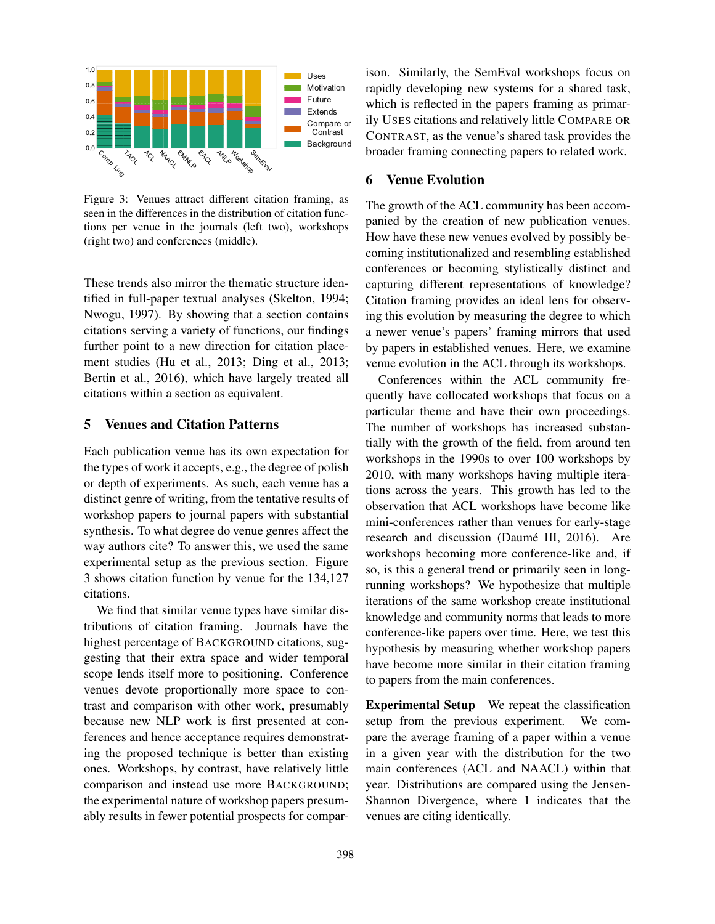

Figure 3: Venues attract different citation framing, as seen in the differences in the distribution of citation functions per venue in the journals (left two), workshops (right two) and conferences (middle).

These trends also mirror the thematic structure identified in full-paper textual analyses (Skelton, 1994; Nwogu, 1997). By showing that a section contains citations serving a variety of functions, our findings further point to a new direction for citation placement studies (Hu et al., 2013; Ding et al., 2013; Bertin et al., 2016), which have largely treated all citations within a section as equivalent.

# 5 Venues and Citation Patterns

Each publication venue has its own expectation for the types of work it accepts, e.g., the degree of polish or depth of experiments. As such, each venue has a distinct genre of writing, from the tentative results of workshop papers to journal papers with substantial synthesis. To what degree do venue genres affect the way authors cite? To answer this, we used the same experimental setup as the previous section. Figure 3 shows citation function by venue for the 134,127 citations.

We find that similar venue types have similar distributions of citation framing. Journals have the highest percentage of BACKGROUND citations, suggesting that their extra space and wider temporal scope lends itself more to positioning. Conference venues devote proportionally more space to contrast and comparison with other work, presumably because new NLP work is first presented at conferences and hence acceptance requires demonstrating the proposed technique is better than existing ones. Workshops, by contrast, have relatively little comparison and instead use more BACKGROUND; the experimental nature of workshop papers presumably results in fewer potential prospects for comparison. Similarly, the SemEval workshops focus on rapidly developing new systems for a shared task, which is reflected in the papers framing as primarily USES citations and relatively little COMPARE OR CONTRAST, as the venue's shared task provides the broader framing connecting papers to related work.

## 6 Venue Evolution

The growth of the ACL community has been accompanied by the creation of new publication venues. How have these new venues evolved by possibly becoming institutionalized and resembling established conferences or becoming stylistically distinct and capturing different representations of knowledge? Citation framing provides an ideal lens for observing this evolution by measuring the degree to which a newer venue's papers' framing mirrors that used by papers in established venues. Here, we examine venue evolution in the ACL through its workshops.

Conferences within the ACL community frequently have collocated workshops that focus on a particular theme and have their own proceedings. The number of workshops has increased substantially with the growth of the field, from around ten workshops in the 1990s to over 100 workshops by 2010, with many workshops having multiple iterations across the years. This growth has led to the observation that ACL workshops have become like mini-conferences rather than venues for early-stage research and discussion (Daumé III, 2016). Are workshops becoming more conference-like and, if so, is this a general trend or primarily seen in longrunning workshops? We hypothesize that multiple iterations of the same workshop create institutional knowledge and community norms that leads to more conference-like papers over time. Here, we test this hypothesis by measuring whether workshop papers have become more similar in their citation framing to papers from the main conferences.

Experimental Setup We repeat the classification setup from the previous experiment. We compare the average framing of a paper within a venue in a given year with the distribution for the two main conferences (ACL and NAACL) within that year. Distributions are compared using the Jensen-Shannon Divergence, where 1 indicates that the venues are citing identically.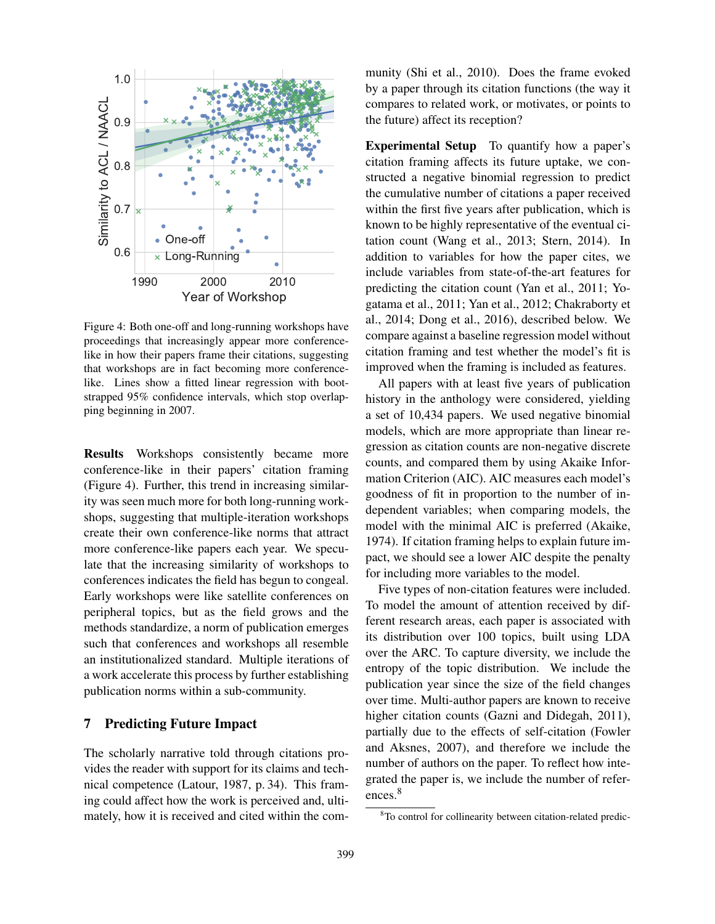

Figure 4: Both one-off and long-running workshops have proceedings that increasingly appear more conferencelike in how their papers frame their citations, suggesting that workshops are in fact becoming more conferencelike. Lines show a fitted linear regression with bootstrapped 95% confidence intervals, which stop overlapping beginning in 2007.

Results Workshops consistently became more conference-like in their papers' citation framing (Figure 4). Further, this trend in increasing similarity was seen much more for both long-running workshops, suggesting that multiple-iteration workshops create their own conference-like norms that attract more conference-like papers each year. We speculate that the increasing similarity of workshops to conferences indicates the field has begun to congeal. Early workshops were like satellite conferences on peripheral topics, but as the field grows and the methods standardize, a norm of publication emerges such that conferences and workshops all resemble an institutionalized standard. Multiple iterations of a work accelerate this process by further establishing publication norms within a sub-community.

# 7 Predicting Future Impact

The scholarly narrative told through citations provides the reader with support for its claims and technical competence (Latour, 1987, p. 34). This framing could affect how the work is perceived and, ultimately, how it is received and cited within the community (Shi et al., 2010). Does the frame evoked by a paper through its citation functions (the way it compares to related work, or motivates, or points to the future) affect its reception?

Experimental Setup To quantify how a paper's citation framing affects its future uptake, we constructed a negative binomial regression to predict the cumulative number of citations a paper received within the first five years after publication, which is known to be highly representative of the eventual citation count (Wang et al., 2013; Stern, 2014). In addition to variables for how the paper cites, we include variables from state-of-the-art features for predicting the citation count (Yan et al., 2011; Yogatama et al., 2011; Yan et al., 2012; Chakraborty et al., 2014; Dong et al., 2016), described below. We compare against a baseline regression model without citation framing and test whether the model's fit is improved when the framing is included as features.

All papers with at least five years of publication history in the anthology were considered, yielding a set of 10,434 papers. We used negative binomial models, which are more appropriate than linear regression as citation counts are non-negative discrete counts, and compared them by using Akaike Information Criterion (AIC). AIC measures each model's goodness of fit in proportion to the number of independent variables; when comparing models, the model with the minimal AIC is preferred (Akaike, 1974). If citation framing helps to explain future impact, we should see a lower AIC despite the penalty for including more variables to the model.

Five types of non-citation features were included. To model the amount of attention received by different research areas, each paper is associated with its distribution over 100 topics, built using LDA over the ARC. To capture diversity, we include the entropy of the topic distribution. We include the publication year since the size of the field changes over time. Multi-author papers are known to receive higher citation counts (Gazni and Didegah, 2011), partially due to the effects of self-citation (Fowler and Aksnes, 2007), and therefore we include the number of authors on the paper. To reflect how integrated the paper is, we include the number of references.<sup>8</sup>

<sup>&</sup>lt;sup>8</sup>To control for collinearity between citation-related predic-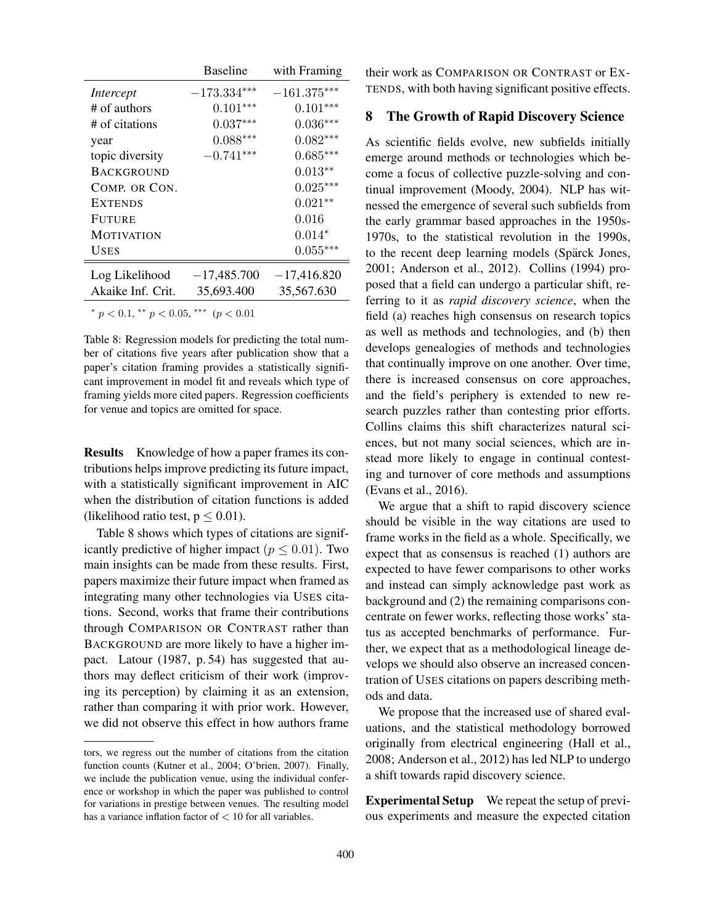|                                               | <b>Baseline</b>           | with Framing  |
|-----------------------------------------------|---------------------------|---------------|
| Intercept                                     | $-173.334^{\ast\ast\ast}$ | $-161.375***$ |
| # of authors                                  | $0.101***$                | $0.101***$    |
| # of citations                                | $0.037***$                | $0.036***$    |
| year                                          | $0.088***$                | $0.082***$    |
| topic diversity                               | $-0.741***$               | $0.685***$    |
| <b>BACKGROUND</b>                             |                           | $0.013**$     |
| COMP. OR CON.                                 |                           | $0.025***$    |
| <b>EXTENDS</b>                                |                           | $0.021**$     |
| <b>FUTURE</b>                                 |                           | 0.016         |
| <b>MOTIVATION</b>                             |                           | $0.014*$      |
| <b>USES</b>                                   |                           | $0.055***$    |
| Log Likelihood                                | $-17,485.700$             | $-17,416.820$ |
| Akaike Inf. Crit.                             | 35,693.400                | 35,567.630    |
| * $p < 0.1$ , ** $p < 0.05$ , *** $(p < 0.01$ |                           |               |

Table 8: Regression models for predicting the total number of citations five years after publication show that a paper's citation framing provides a statistically significant improvement in model fit and reveals which type of framing yields more cited papers. Regression coefficients for venue and topics are omitted for space.

Results Knowledge of how a paper frames its contributions helps improve predicting its future impact, with a statistically significant improvement in AIC when the distribution of citation functions is added (likelihood ratio test,  $p \leq 0.01$ ).

Table 8 shows which types of citations are significantly predictive of higher impact ( $p \le 0.01$ ). Two main insights can be made from these results. First, papers maximize their future impact when framed as integrating many other technologies via USES citations. Second, works that frame their contributions through COMPARISON OR CONTRAST rather than BACKGROUND are more likely to have a higher impact. Latour (1987, p. 54) has suggested that authors may deflect criticism of their work (improving its perception) by claiming it as an extension, rather than comparing it with prior work. However, we did not observe this effect in how authors frame

their work as COMPARISON OR CONTRAST or EX-TENDS, with both having significant positive effects.

#### 8 The Growth of Rapid Discovery Science

As scientific fields evolve, new subfields initially emerge around methods or technologies which become a focus of collective puzzle-solving and continual improvement (Moody, 2004). NLP has witnessed the emergence of several such subfields from the early grammar based approaches in the 1950s-1970s, to the statistical revolution in the 1990s, to the recent deep learning models (Spärck Jones, 2001; Anderson et al., 2012). Collins (1994) proposed that a field can undergo a particular shift, referring to it as *rapid discovery science*, when the field (a) reaches high consensus on research topics as well as methods and technologies, and (b) then develops genealogies of methods and technologies that continually improve on one another. Over time, there is increased consensus on core approaches, and the field's periphery is extended to new research puzzles rather than contesting prior efforts. Collins claims this shift characterizes natural sciences, but not many social sciences, which are instead more likely to engage in continual contesting and turnover of core methods and assumptions (Evans et al., 2016).

We argue that a shift to rapid discovery science should be visible in the way citations are used to frame works in the field as a whole. Specifically, we expect that as consensus is reached (1) authors are expected to have fewer comparisons to other works and instead can simply acknowledge past work as background and (2) the remaining comparisons concentrate on fewer works, reflecting those works' status as accepted benchmarks of performance. Further, we expect that as a methodological lineage develops we should also observe an increased concentration of USES citations on papers describing methods and data.

We propose that the increased use of shared evaluations, and the statistical methodology borrowed originally from electrical engineering (Hall et al., 2008; Anderson et al., 2012) has led NLP to undergo a shift towards rapid discovery science.

Experimental Setup We repeat the setup of previous experiments and measure the expected citation

tors, we regress out the number of citations from the citation function counts (Kutner et al., 2004; O'brien, 2007). Finally, we include the publication venue, using the individual conference or workshop in which the paper was published to control for variations in prestige between venues. The resulting model has a variance inflation factor of < 10 for all variables.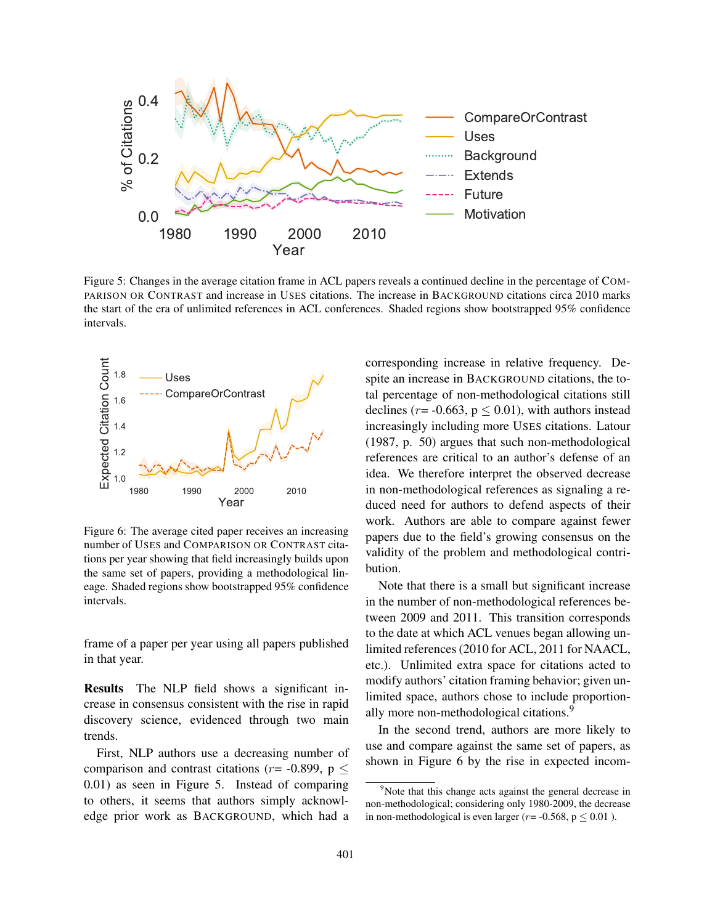

Figure 5: Changes in the average citation frame in ACL papers reveals a continued decline in the percentage of COM-PARISON OR CONTRAST and increase in USES citations. The increase in BACKGROUND citations circa 2010 marks the start of the era of unlimited references in ACL conferences. Shaded regions show bootstrapped 95% confidence intervals.



Figure 6: The average cited paper receives an increasing number of USES and COMPARISON OR CONTRAST citations per year showing that field increasingly builds upon the same set of papers, providing a methodological lineage. Shaded regions show bootstrapped 95% confidence intervals.

frame of a paper per year using all papers published in that year.

Results The NLP field shows a significant increase in consensus consistent with the rise in rapid discovery science, evidenced through two main trends.

First, NLP authors use a decreasing number of comparison and contrast citations ( $r = -0.899$ ,  $p \le$ 0.01) as seen in Figure 5. Instead of comparing to others, it seems that authors simply acknowledge prior work as BACKGROUND, which had a corresponding increase in relative frequency. Despite an increase in BACKGROUND citations, the total percentage of non-methodological citations still declines ( $r = -0.663$ ,  $p \le 0.01$ ), with authors instead increasingly including more USES citations. Latour (1987, p. 50) argues that such non-methodological references are critical to an author's defense of an idea. We therefore interpret the observed decrease in non-methodological references as signaling a reduced need for authors to defend aspects of their work. Authors are able to compare against fewer papers due to the field's growing consensus on the validity of the problem and methodological contribution.

Note that there is a small but significant increase in the number of non-methodological references between 2009 and 2011. This transition corresponds to the date at which ACL venues began allowing unlimited references (2010 for ACL, 2011 for NAACL, etc.). Unlimited extra space for citations acted to modify authors' citation framing behavior; given unlimited space, authors chose to include proportionally more non-methodological citations.<sup>9</sup>

In the second trend, authors are more likely to use and compare against the same set of papers, as shown in Figure 6 by the rise in expected incom-

<sup>&</sup>lt;sup>9</sup>Note that this change acts against the general decrease in non-methodological; considering only 1980-2009, the decrease in non-methodological is even larger ( $r = -0.568$ ,  $p \le 0.01$ ).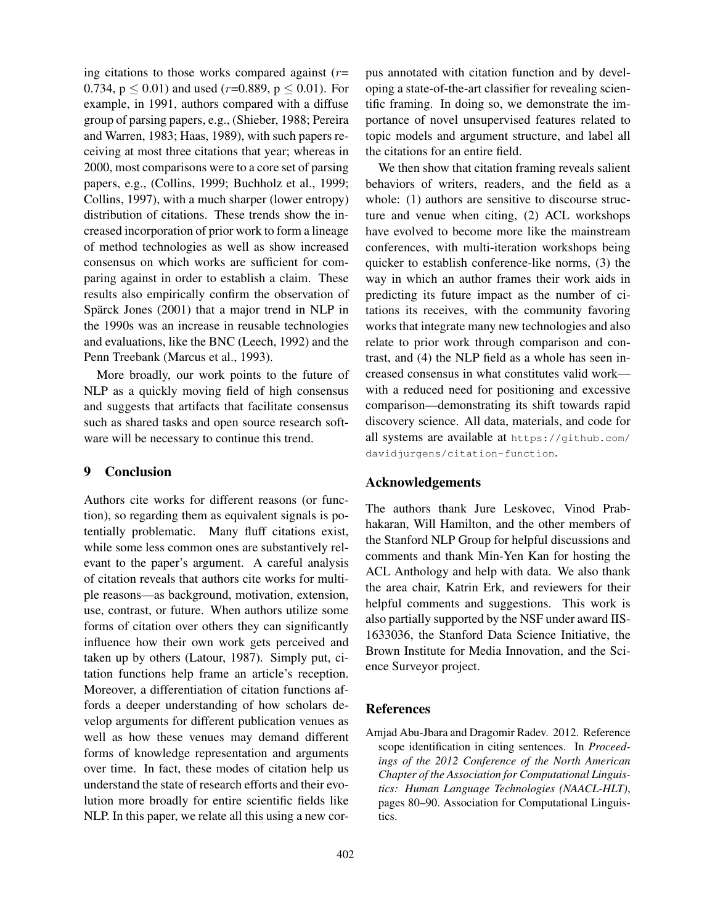ing citations to those works compared against  $(r=$ 0.734,  $p \le 0.01$ ) and used (*r*=0.889,  $p \le 0.01$ ). For example, in 1991, authors compared with a diffuse group of parsing papers, e.g., (Shieber, 1988; Pereira and Warren, 1983; Haas, 1989), with such papers receiving at most three citations that year; whereas in 2000, most comparisons were to a core set of parsing papers, e.g., (Collins, 1999; Buchholz et al., 1999; Collins, 1997), with a much sharper (lower entropy) distribution of citations. These trends show the increased incorporation of prior work to form a lineage of method technologies as well as show increased consensus on which works are sufficient for comparing against in order to establish a claim. These results also empirically confirm the observation of Spärck Jones  $(2001)$  that a major trend in NLP in the 1990s was an increase in reusable technologies and evaluations, like the BNC (Leech, 1992) and the Penn Treebank (Marcus et al., 1993).

More broadly, our work points to the future of NLP as a quickly moving field of high consensus and suggests that artifacts that facilitate consensus such as shared tasks and open source research software will be necessary to continue this trend.

## 9 Conclusion

Authors cite works for different reasons (or function), so regarding them as equivalent signals is potentially problematic. Many fluff citations exist, while some less common ones are substantively relevant to the paper's argument. A careful analysis of citation reveals that authors cite works for multiple reasons—as background, motivation, extension, use, contrast, or future. When authors utilize some forms of citation over others they can significantly influence how their own work gets perceived and taken up by others (Latour, 1987). Simply put, citation functions help frame an article's reception. Moreover, a differentiation of citation functions affords a deeper understanding of how scholars develop arguments for different publication venues as well as how these venues may demand different forms of knowledge representation and arguments over time. In fact, these modes of citation help us understand the state of research efforts and their evolution more broadly for entire scientific fields like NLP. In this paper, we relate all this using a new corpus annotated with citation function and by developing a state-of-the-art classifier for revealing scientific framing. In doing so, we demonstrate the importance of novel unsupervised features related to topic models and argument structure, and label all the citations for an entire field.

We then show that citation framing reveals salient behaviors of writers, readers, and the field as a whole: (1) authors are sensitive to discourse structure and venue when citing, (2) ACL workshops have evolved to become more like the mainstream conferences, with multi-iteration workshops being quicker to establish conference-like norms, (3) the way in which an author frames their work aids in predicting its future impact as the number of citations its receives, with the community favoring works that integrate many new technologies and also relate to prior work through comparison and contrast, and (4) the NLP field as a whole has seen increased consensus in what constitutes valid work with a reduced need for positioning and excessive comparison—demonstrating its shift towards rapid discovery science. All data, materials, and code for all systems are available at https://github.com/ davidjurgens/citation-function.

### Acknowledgements

The authors thank Jure Leskovec, Vinod Prabhakaran, Will Hamilton, and the other members of the Stanford NLP Group for helpful discussions and comments and thank Min-Yen Kan for hosting the ACL Anthology and help with data. We also thank the area chair, Katrin Erk, and reviewers for their helpful comments and suggestions. This work is also partially supported by the NSF under award IIS-1633036, the Stanford Data Science Initiative, the Brown Institute for Media Innovation, and the Science Surveyor project.

### References

Amjad Abu-Jbara and Dragomir Radev. 2012. Reference scope identification in citing sentences. In *Proceedings of the 2012 Conference of the North American Chapter of the Association for Computational Linguistics: Human Language Technologies (NAACL-HLT)*, pages 80–90. Association for Computational Linguistics.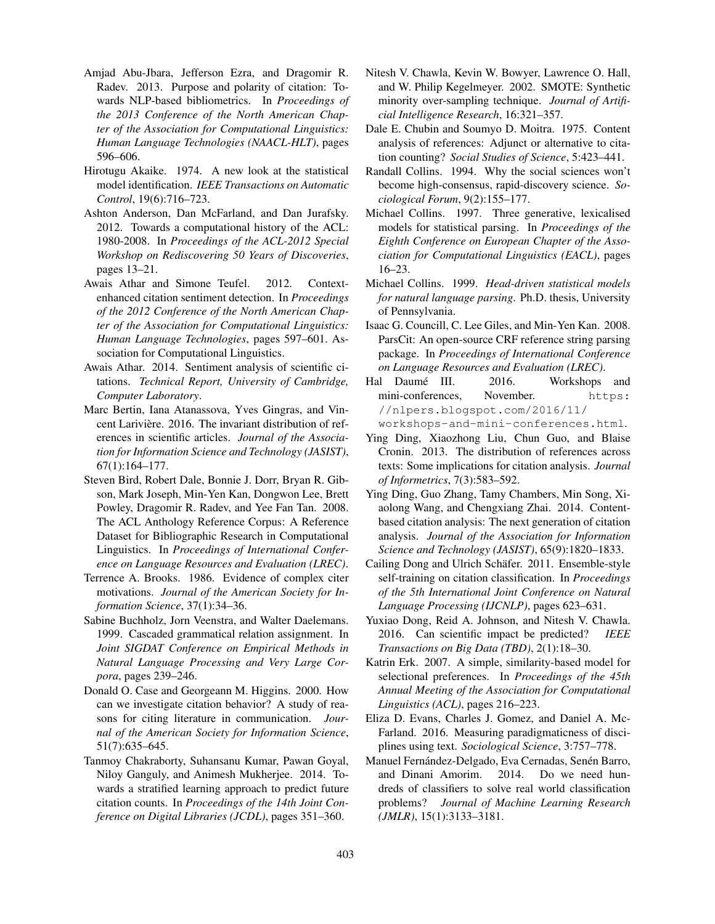- Amjad Abu-Jbara, Jefferson Ezra, and Dragomir R. Radev. 2013. Purpose and polarity of citation: Towards NLP-based bibliometrics. In *Proceedings of the 2013 Conference of the North American Chapter of the Association for Computational Linguistics: Human Language Technologies (NAACL-HLT)*, pages 596–606.
- Hirotugu Akaike. 1974. A new look at the statistical model identification. *IEEE Transactions on Automatic Control*, 19(6):716–723.
- Ashton Anderson, Dan McFarland, and Dan Jurafsky. 2012. Towards a computational history of the ACL: 1980-2008. In *Proceedings of the ACL-2012 Special Workshop on Rediscovering 50 Years of Discoveries*, pages 13–21.
- Awais Athar and Simone Teufel. 2012. Contextenhanced citation sentiment detection. In *Proceedings of the 2012 Conference of the North American Chapter of the Association for Computational Linguistics: Human Language Technologies*, pages 597–601. Association for Computational Linguistics.
- Awais Athar. 2014. Sentiment analysis of scientific citations. *Technical Report, University of Cambridge, Computer Laboratory*.
- Marc Bertin, Iana Atanassova, Yves Gingras, and Vincent Larivière. 2016. The invariant distribution of references in scientific articles. *Journal of the Association for Information Science and Technology (JASIST)*, 67(1):164–177.
- Steven Bird, Robert Dale, Bonnie J. Dorr, Bryan R. Gibson, Mark Joseph, Min-Yen Kan, Dongwon Lee, Brett Powley, Dragomir R. Radev, and Yee Fan Tan. 2008. The ACL Anthology Reference Corpus: A Reference Dataset for Bibliographic Research in Computational Linguistics. In *Proceedings of International Conference on Language Resources and Evaluation (LREC)*.
- Terrence A. Brooks. 1986. Evidence of complex citer motivations. *Journal of the American Society for Information Science*, 37(1):34–36.
- Sabine Buchholz, Jorn Veenstra, and Walter Daelemans. 1999. Cascaded grammatical relation assignment. In *Joint SIGDAT Conference on Empirical Methods in Natural Language Processing and Very Large Corpora*, pages 239–246.
- Donald O. Case and Georgeann M. Higgins. 2000. How can we investigate citation behavior? A study of reasons for citing literature in communication. *Journal of the American Society for Information Science*, 51(7):635–645.
- Tanmoy Chakraborty, Suhansanu Kumar, Pawan Goyal, Niloy Ganguly, and Animesh Mukherjee. 2014. Towards a stratified learning approach to predict future citation counts. In *Proceedings of the 14th Joint Conference on Digital Libraries (JCDL)*, pages 351–360.
- Nitesh V. Chawla, Kevin W. Bowyer, Lawrence O. Hall, and W. Philip Kegelmeyer. 2002. SMOTE: Synthetic minority over-sampling technique. *Journal of Artificial Intelligence Research*, 16:321–357.
- Dale E. Chubin and Soumyo D. Moitra. 1975. Content analysis of references: Adjunct or alternative to citation counting? *Social Studies of Science*, 5:423–441.
- Randall Collins. 1994. Why the social sciences won't become high-consensus, rapid-discovery science. *Sociological Forum*, 9(2):155–177.
- Michael Collins. 1997. Three generative, lexicalised models for statistical parsing. In *Proceedings of the Eighth Conference on European Chapter of the Association for Computational Linguistics (EACL)*, pages 16–23.
- Michael Collins. 1999. *Head-driven statistical models for natural language parsing*. Ph.D. thesis, University of Pennsylvania.
- Isaac G. Councill, C. Lee Giles, and Min-Yen Kan. 2008. ParsCit: An open-source CRF reference string parsing package. In *Proceedings of International Conference on Language Resources and Evaluation (LREC)*.
- Hal Daumé III. 2016. Workshops and mini-conferences, November. https: //nlpers.blogspot.com/2016/11/ workshops-and-mini-conferences.html.
- Ying Ding, Xiaozhong Liu, Chun Guo, and Blaise Cronin. 2013. The distribution of references across texts: Some implications for citation analysis. *Journal of Informetrics*, 7(3):583–592.
- Ying Ding, Guo Zhang, Tamy Chambers, Min Song, Xiaolong Wang, and Chengxiang Zhai. 2014. Contentbased citation analysis: The next generation of citation analysis. *Journal of the Association for Information Science and Technology (JASIST)*, 65(9):1820–1833.
- Cailing Dong and Ulrich Schäfer. 2011. Ensemble-style self-training on citation classification. In *Proceedings of the 5th International Joint Conference on Natural Language Processing (IJCNLP)*, pages 623–631.
- Yuxiao Dong, Reid A. Johnson, and Nitesh V. Chawla. 2016. Can scientific impact be predicted? *IEEE Transactions on Big Data (TBD)*, 2(1):18–30.
- Katrin Erk. 2007. A simple, similarity-based model for selectional preferences. In *Proceedings of the 45th Annual Meeting of the Association for Computational Linguistics (ACL)*, pages 216–223.
- Eliza D. Evans, Charles J. Gomez, and Daniel A. Mc-Farland. 2016. Measuring paradigmaticness of disciplines using text. *Sociological Science*, 3:757–778.
- Manuel Fernández-Delgado, Eva Cernadas, Senén Barro, and Dinani Amorim. 2014. Do we need hundreds of classifiers to solve real world classification problems? *Journal of Machine Learning Research (JMLR)*, 15(1):3133–3181.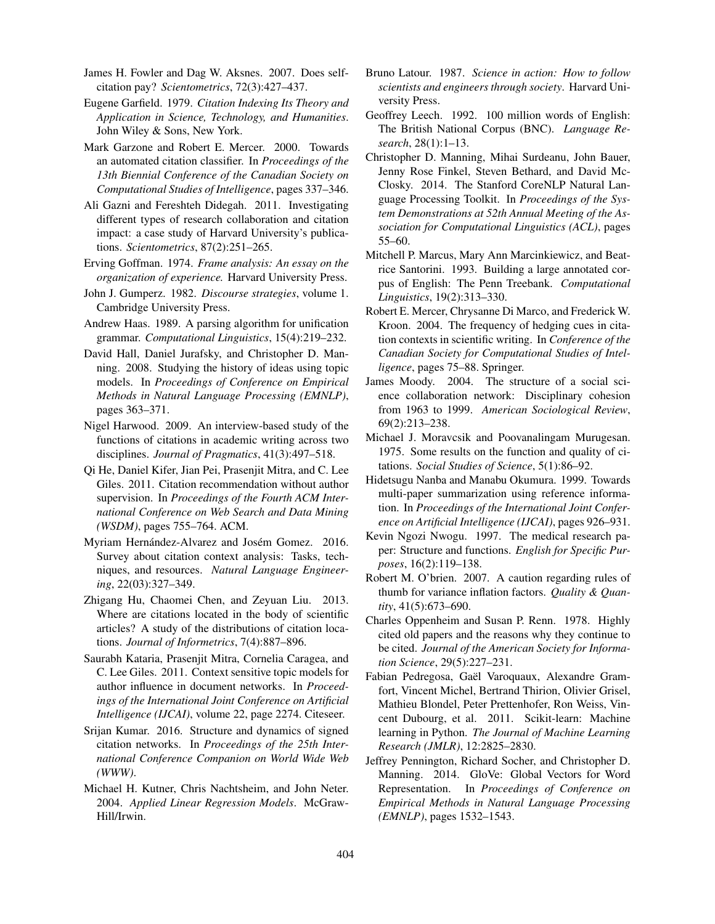James H. Fowler and Dag W. Aksnes. 2007. Does selfcitation pay? *Scientometrics*, 72(3):427–437.

Eugene Garfield. 1979. *Citation Indexing Its Theory and Application in Science, Technology, and Humanities*. John Wiley & Sons, New York.

Mark Garzone and Robert E. Mercer. 2000. Towards an automated citation classifier. In *Proceedings of the 13th Biennial Conference of the Canadian Society on Computational Studies of Intelligence*, pages 337–346.

Ali Gazni and Fereshteh Didegah. 2011. Investigating different types of research collaboration and citation impact: a case study of Harvard University's publications. *Scientometrics*, 87(2):251–265.

Erving Goffman. 1974. *Frame analysis: An essay on the organization of experience.* Harvard University Press.

- John J. Gumperz. 1982. *Discourse strategies*, volume 1. Cambridge University Press.
- Andrew Haas. 1989. A parsing algorithm for unification grammar. *Computational Linguistics*, 15(4):219–232.
- David Hall, Daniel Jurafsky, and Christopher D. Manning. 2008. Studying the history of ideas using topic models. In *Proceedings of Conference on Empirical Methods in Natural Language Processing (EMNLP)*, pages 363–371.
- Nigel Harwood. 2009. An interview-based study of the functions of citations in academic writing across two disciplines. *Journal of Pragmatics*, 41(3):497–518.
- Qi He, Daniel Kifer, Jian Pei, Prasenjit Mitra, and C. Lee Giles. 2011. Citation recommendation without author supervision. In *Proceedings of the Fourth ACM International Conference on Web Search and Data Mining (WSDM)*, pages 755–764. ACM.
- Myriam Hernández-Alvarez and Josém Gomez. 2016. Survey about citation context analysis: Tasks, techniques, and resources. *Natural Language Engineering*, 22(03):327–349.
- Zhigang Hu, Chaomei Chen, and Zeyuan Liu. 2013. Where are citations located in the body of scientific articles? A study of the distributions of citation locations. *Journal of Informetrics*, 7(4):887–896.
- Saurabh Kataria, Prasenjit Mitra, Cornelia Caragea, and C. Lee Giles. 2011. Context sensitive topic models for author influence in document networks. In *Proceedings of the International Joint Conference on Artificial Intelligence (IJCAI)*, volume 22, page 2274. Citeseer.
- Srijan Kumar. 2016. Structure and dynamics of signed citation networks. In *Proceedings of the 25th International Conference Companion on World Wide Web (WWW)*.
- Michael H. Kutner, Chris Nachtsheim, and John Neter. 2004. *Applied Linear Regression Models*. McGraw-Hill/Irwin.
- Bruno Latour. 1987. *Science in action: How to follow scientists and engineers through society*. Harvard University Press.
- Geoffrey Leech. 1992. 100 million words of English: The British National Corpus (BNC). *Language Research*, 28(1):1–13.
- Christopher D. Manning, Mihai Surdeanu, John Bauer, Jenny Rose Finkel, Steven Bethard, and David Mc-Closky. 2014. The Stanford CoreNLP Natural Language Processing Toolkit. In *Proceedings of the System Demonstrations at 52th Annual Meeting of the Association for Computational Linguistics (ACL)*, pages 55–60.
- Mitchell P. Marcus, Mary Ann Marcinkiewicz, and Beatrice Santorini. 1993. Building a large annotated corpus of English: The Penn Treebank. *Computational Linguistics*, 19(2):313–330.
- Robert E. Mercer, Chrysanne Di Marco, and Frederick W. Kroon. 2004. The frequency of hedging cues in citation contexts in scientific writing. In *Conference of the Canadian Society for Computational Studies of Intelligence*, pages 75–88. Springer.
- James Moody. 2004. The structure of a social science collaboration network: Disciplinary cohesion from 1963 to 1999. *American Sociological Review*, 69(2):213–238.
- Michael J. Moravcsik and Poovanalingam Murugesan. 1975. Some results on the function and quality of citations. *Social Studies of Science*, 5(1):86–92.
- Hidetsugu Nanba and Manabu Okumura. 1999. Towards multi-paper summarization using reference information. In *Proceedings of the International Joint Conference on Artificial Intelligence (IJCAI)*, pages 926–931.
- Kevin Ngozi Nwogu. 1997. The medical research paper: Structure and functions. *English for Specific Purposes*, 16(2):119–138.
- Robert M. O'brien. 2007. A caution regarding rules of thumb for variance inflation factors. *Quality & Quantity*, 41(5):673–690.
- Charles Oppenheim and Susan P. Renn. 1978. Highly cited old papers and the reasons why they continue to be cited. *Journal of the American Society for Information Science*, 29(5):227–231.
- Fabian Pedregosa, Gaël Varoquaux, Alexandre Gramfort, Vincent Michel, Bertrand Thirion, Olivier Grisel, Mathieu Blondel, Peter Prettenhofer, Ron Weiss, Vincent Dubourg, et al. 2011. Scikit-learn: Machine learning in Python. *The Journal of Machine Learning Research (JMLR)*, 12:2825–2830.
- Jeffrey Pennington, Richard Socher, and Christopher D. Manning. 2014. GloVe: Global Vectors for Word Representation. In *Proceedings of Conference on Empirical Methods in Natural Language Processing (EMNLP)*, pages 1532–1543.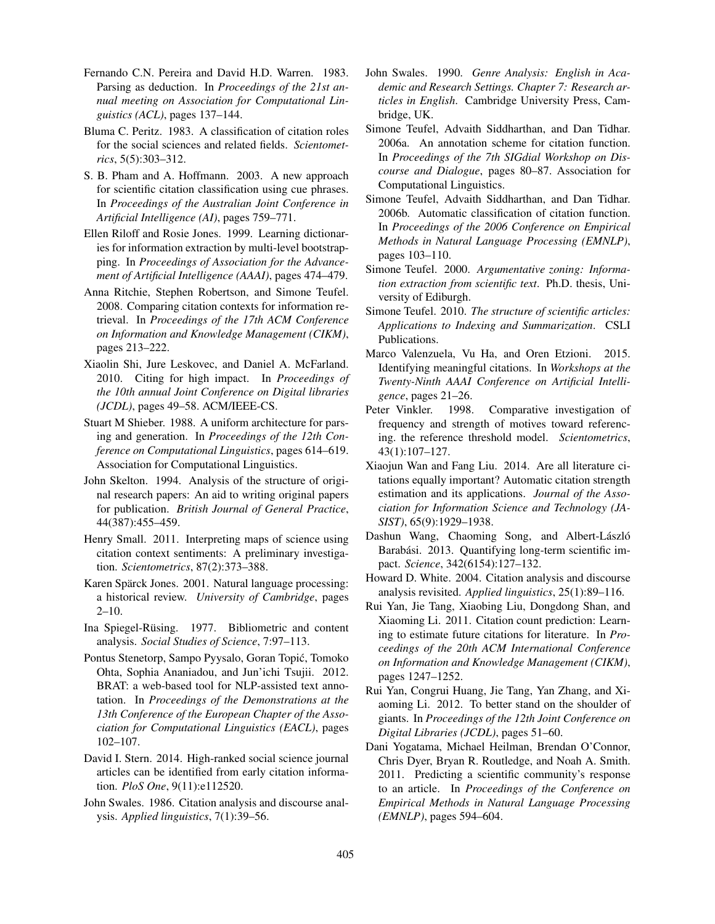- Fernando C.N. Pereira and David H.D. Warren. 1983. Parsing as deduction. In *Proceedings of the 21st annual meeting on Association for Computational Linguistics (ACL)*, pages 137–144.
- Bluma C. Peritz. 1983. A classification of citation roles for the social sciences and related fields. *Scientometrics*, 5(5):303–312.
- S. B. Pham and A. Hoffmann. 2003. A new approach for scientific citation classification using cue phrases. In *Proceedings of the Australian Joint Conference in Artificial Intelligence (AI)*, pages 759–771.
- Ellen Riloff and Rosie Jones. 1999. Learning dictionaries for information extraction by multi-level bootstrapping. In *Proceedings of Association for the Advancement of Artificial Intelligence (AAAI)*, pages 474–479.
- Anna Ritchie, Stephen Robertson, and Simone Teufel. 2008. Comparing citation contexts for information retrieval. In *Proceedings of the 17th ACM Conference on Information and Knowledge Management (CIKM)*, pages 213–222.
- Xiaolin Shi, Jure Leskovec, and Daniel A. McFarland. 2010. Citing for high impact. In *Proceedings of the 10th annual Joint Conference on Digital libraries (JCDL)*, pages 49–58. ACM/IEEE-CS.
- Stuart M Shieber. 1988. A uniform architecture for parsing and generation. In *Proceedings of the 12th Conference on Computational Linguistics*, pages 614–619. Association for Computational Linguistics.
- John Skelton. 1994. Analysis of the structure of original research papers: An aid to writing original papers for publication. *British Journal of General Practice*, 44(387):455–459.
- Henry Small. 2011. Interpreting maps of science using citation context sentiments: A preliminary investigation. *Scientometrics*, 87(2):373–388.
- Karen Spärck Jones. 2001. Natural language processing: a historical review. *University of Cambridge*, pages  $2 - 10$ .
- Ina Spiegel-Rüsing. 1977. Bibliometric and content analysis. *Social Studies of Science*, 7:97–113.
- Pontus Stenetorp, Sampo Pyysalo, Goran Topic, Tomoko ´ Ohta, Sophia Ananiadou, and Jun'ichi Tsujii. 2012. BRAT: a web-based tool for NLP-assisted text annotation. In *Proceedings of the Demonstrations at the 13th Conference of the European Chapter of the Association for Computational Linguistics (EACL)*, pages 102–107.
- David I. Stern. 2014. High-ranked social science journal articles can be identified from early citation information. *PloS One*, 9(11):e112520.
- John Swales. 1986. Citation analysis and discourse analysis. *Applied linguistics*, 7(1):39–56.
- John Swales. 1990. *Genre Analysis: English in Academic and Research Settings. Chapter 7: Research articles in English*. Cambridge University Press, Cambridge, UK.
- Simone Teufel, Advaith Siddharthan, and Dan Tidhar. 2006a. An annotation scheme for citation function. In *Proceedings of the 7th SIGdial Workshop on Discourse and Dialogue*, pages 80–87. Association for Computational Linguistics.
- Simone Teufel, Advaith Siddharthan, and Dan Tidhar. 2006b. Automatic classification of citation function. In *Proceedings of the 2006 Conference on Empirical Methods in Natural Language Processing (EMNLP)*, pages 103–110.
- Simone Teufel. 2000. *Argumentative zoning: Information extraction from scientific text*. Ph.D. thesis, University of Ediburgh.
- Simone Teufel. 2010. *The structure of scientific articles: Applications to Indexing and Summarization*. CSLI Publications.
- Marco Valenzuela, Vu Ha, and Oren Etzioni. 2015. Identifying meaningful citations. In *Workshops at the Twenty-Ninth AAAI Conference on Artificial Intelligence*, pages 21–26.
- Peter Vinkler. 1998. Comparative investigation of frequency and strength of motives toward referencing. the reference threshold model. *Scientometrics*, 43(1):107–127.
- Xiaojun Wan and Fang Liu. 2014. Are all literature citations equally important? Automatic citation strength estimation and its applications. *Journal of the Association for Information Science and Technology (JA-SIST)*, 65(9):1929–1938.
- Dashun Wang, Chaoming Song, and Albert-László Barabási. 2013. Quantifying long-term scientific impact. *Science*, 342(6154):127–132.
- Howard D. White. 2004. Citation analysis and discourse analysis revisited. *Applied linguistics*, 25(1):89–116.
- Rui Yan, Jie Tang, Xiaobing Liu, Dongdong Shan, and Xiaoming Li. 2011. Citation count prediction: Learning to estimate future citations for literature. In *Proceedings of the 20th ACM International Conference on Information and Knowledge Management (CIKM)*, pages 1247–1252.
- Rui Yan, Congrui Huang, Jie Tang, Yan Zhang, and Xiaoming Li. 2012. To better stand on the shoulder of giants. In *Proceedings of the 12th Joint Conference on Digital Libraries (JCDL)*, pages 51–60.
- Dani Yogatama, Michael Heilman, Brendan O'Connor, Chris Dyer, Bryan R. Routledge, and Noah A. Smith. 2011. Predicting a scientific community's response to an article. In *Proceedings of the Conference on Empirical Methods in Natural Language Processing (EMNLP)*, pages 594–604.